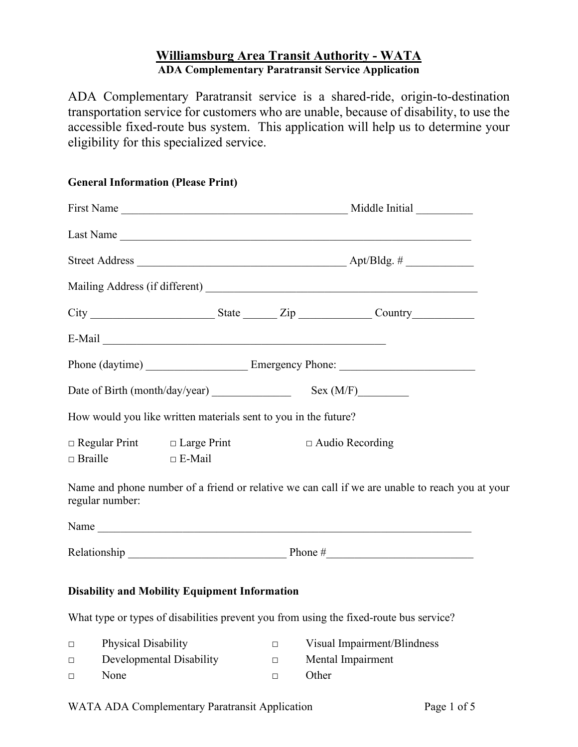# **Williamsburg Area Transit Authority - WATA ADA Complementary Paratransit Service Application**

ADA Complementary Paratransit service is a shared-ride, origin-to-destination transportation service for customers who are unable, because of disability, to use the accessible fixed-route bus system. This application will help us to determine your eligibility for this specialized service.

### **General Information (Please Print)**

|                |                                                                 |               |        | Last Name                                                                                       |  |
|----------------|-----------------------------------------------------------------|---------------|--------|-------------------------------------------------------------------------------------------------|--|
|                |                                                                 |               |        |                                                                                                 |  |
|                |                                                                 |               |        |                                                                                                 |  |
|                |                                                                 |               |        |                                                                                                 |  |
|                |                                                                 |               |        |                                                                                                 |  |
|                |                                                                 |               |        | Phone (daytime) Emergency Phone:                                                                |  |
|                |                                                                 |               |        |                                                                                                 |  |
|                | How would you like written materials sent to you in the future? |               |        |                                                                                                 |  |
| $\Box$ Braille | $\Box$ Regular Print $\Box$ Large Print                         | $\Box$ E-Mail |        | $\Box$ Audio Recording                                                                          |  |
|                | regular number:                                                 |               |        | Name and phone number of a friend or relative we can call if we are unable to reach you at your |  |
|                |                                                                 |               |        | Name                                                                                            |  |
|                |                                                                 |               |        |                                                                                                 |  |
|                | <b>Disability and Mobility Equipment Information</b>            |               |        |                                                                                                 |  |
|                |                                                                 |               |        | What type or types of disabilities prevent you from using the fixed-route bus service?          |  |
| $\Box$         | Physical Disability                                             |               | $\Box$ | Visual Impairment/Blindness                                                                     |  |
| $\Box$         | Developmental Disability                                        |               | $\Box$ | Mental Impairment                                                                               |  |

**□** None **□** Other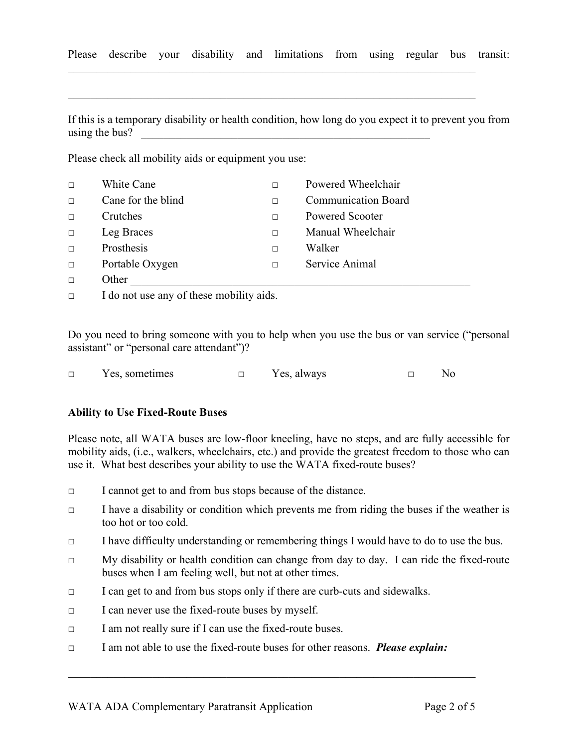Please describe your disability and limitations from using regular bus transit:

 $\mathcal{L}_\text{G}$  , and the contribution of the contribution of the contribution of the contribution of the contribution of the contribution of the contribution of the contribution of the contribution of the contribution of t

 $\mathcal{L}_\text{max} = \mathcal{L}_\text{max} = \mathcal{L}_\text{max} = \mathcal{L}_\text{max} = \mathcal{L}_\text{max} = \mathcal{L}_\text{max} = \mathcal{L}_\text{max} = \mathcal{L}_\text{max} = \mathcal{L}_\text{max} = \mathcal{L}_\text{max} = \mathcal{L}_\text{max} = \mathcal{L}_\text{max} = \mathcal{L}_\text{max} = \mathcal{L}_\text{max} = \mathcal{L}_\text{max} = \mathcal{L}_\text{max} = \mathcal{L}_\text{max} = \mathcal{L}_\text{max} = \mathcal{$ 

If this is a temporary disability or health condition, how long do you expect it to prevent you from using the bus?

Please check all mobility aids or equipment you use:

| $\Box$ | White Cane                                                         |   | Powered Wheelchair         |
|--------|--------------------------------------------------------------------|---|----------------------------|
| $\Box$ | Cane for the blind                                                 | П | <b>Communication Board</b> |
| $\Box$ | Crutches                                                           | П | Powered Scooter            |
| $\Box$ | Leg Braces                                                         | П | Manual Wheelchair          |
| $\Box$ | Prosthesis                                                         | П | Walker                     |
| $\Box$ | Portable Oxygen                                                    | П | Service Animal             |
| $\Box$ | Other                                                              |   |                            |
|        | $\sim$ $\cdot$ 1<br>$\mathbf{r}$ and $\mathbf{r}$ and $\mathbf{r}$ |   |                            |

**□** I do not use any of these mobility aids.

Do you need to bring someone with you to help when you use the bus or van service ("personal assistant" or "personal care attendant")?

| Yes, sometimes | Yes. always | $N_{\Omega}$ |
|----------------|-------------|--------------|
|                |             |              |

### **Ability to Use Fixed-Route Buses**

Please note, all WATA buses are low-floor kneeling, have no steps, and are fully accessible for mobility aids, (i.e., walkers, wheelchairs, etc.) and provide the greatest freedom to those who can use it. What best describes your ability to use the WATA fixed-route buses?

- **□** I cannot get to and from bus stops because of the distance.
- **□** I have a disability or condition which prevents me from riding the buses if the weather is too hot or too cold.
- **□** I have difficulty understanding or remembering things I would have to do to use the bus.
- **□** My disability or health condition can change from day to day. I can ride the fixed-route buses when I am feeling well, but not at other times.
- **□** I can get to and from bus stops only if there are curb-cuts and sidewalks.
- **□** I can never use the fixed-route buses by myself.
- **□** I am not really sure if I can use the fixed-route buses.
- **□** I am not able to use the fixed-route buses for other reasons. *Please explain:*

 $\_$  , and the set of the set of the set of the set of the set of the set of the set of the set of the set of the set of the set of the set of the set of the set of the set of the set of the set of the set of the set of th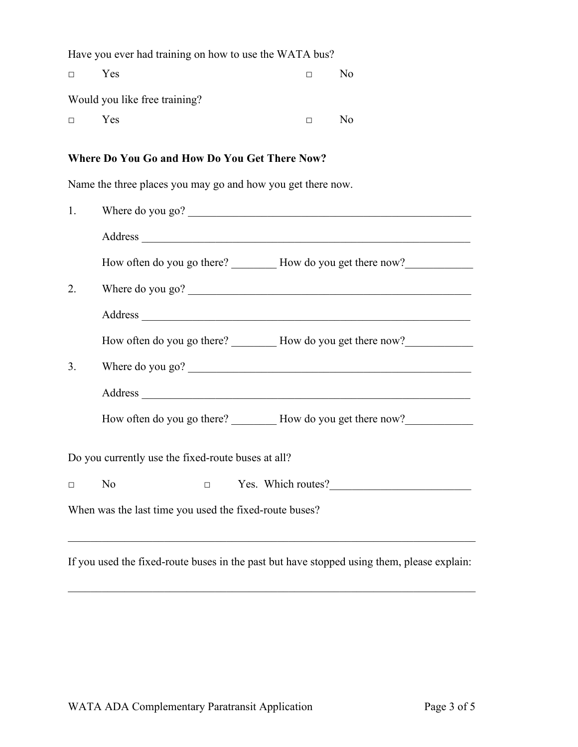Have you ever had training on how to use the WATA bus?

| $\Box$ | <b>Yes</b>                    | $\Box$ | No. |
|--------|-------------------------------|--------|-----|
|        | Would you like free training? |        |     |
| $\Box$ | <b>Yes</b>                    | O.     | N٥  |

## **Where Do You Go and How Do You Get There Now?**

Name the three places you may go and how you get there now.

| 1.                                                 | Where do you go?                                                 |  |  |  |
|----------------------------------------------------|------------------------------------------------------------------|--|--|--|
|                                                    |                                                                  |  |  |  |
|                                                    | How often do you go there? __________ How do you get there now?  |  |  |  |
| 2.                                                 | Where do you go?                                                 |  |  |  |
|                                                    |                                                                  |  |  |  |
|                                                    | How often do you go there? ___________ How do you get there now? |  |  |  |
| 3.                                                 | Where do you go?                                                 |  |  |  |
|                                                    |                                                                  |  |  |  |
|                                                    | How often do you go there? __________ How do you get there now?  |  |  |  |
| Do you currently use the fixed-route buses at all? |                                                                  |  |  |  |
| $\Box$                                             | $\square$ Yes. Which routes?<br>N <sub>o</sub>                   |  |  |  |
|                                                    | When was the last time you used the fixed-route buses?           |  |  |  |

If you used the fixed-route buses in the past but have stopped using them, please explain:

 $\_$  , and the set of the set of the set of the set of the set of the set of the set of the set of the set of the set of the set of the set of the set of the set of the set of the set of the set of the set of the set of th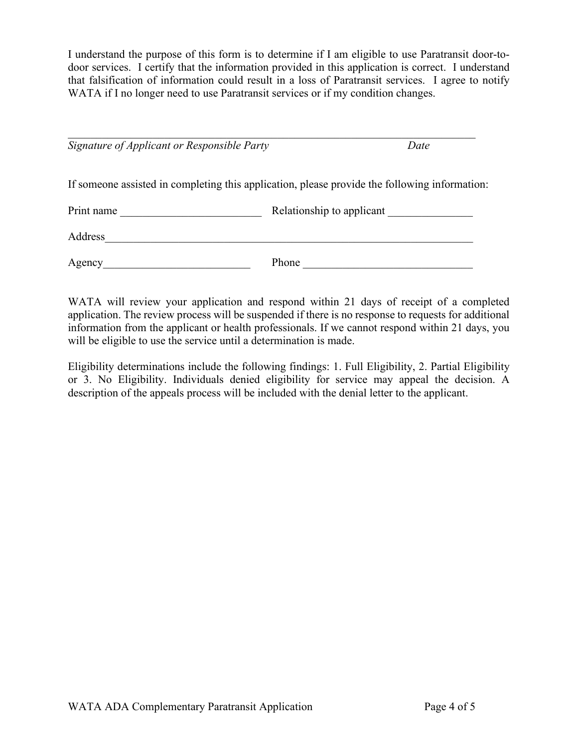I understand the purpose of this form is to determine if I am eligible to use Paratransit door-todoor services. I certify that the information provided in this application is correct. I understand that falsification of information could result in a loss of Paratransit services. I agree to notify WATA if I no longer need to use Paratransit services or if my condition changes.

| Signature of Applicant or Responsible Party<br>Date                                           |                           |  |
|-----------------------------------------------------------------------------------------------|---------------------------|--|
| If someone assisted in completing this application, please provide the following information: |                           |  |
| Print name                                                                                    | Relationship to applicant |  |
| Address                                                                                       |                           |  |
| Agency                                                                                        | Phone                     |  |

WATA will review your application and respond within 21 days of receipt of a completed application. The review process will be suspended if there is no response to requests for additional information from the applicant or health professionals. If we cannot respond within 21 days, you will be eligible to use the service until a determination is made.

Eligibility determinations include the following findings: 1. Full Eligibility, 2. Partial Eligibility or 3. No Eligibility. Individuals denied eligibility for service may appeal the decision. A description of the appeals process will be included with the denial letter to the applicant.